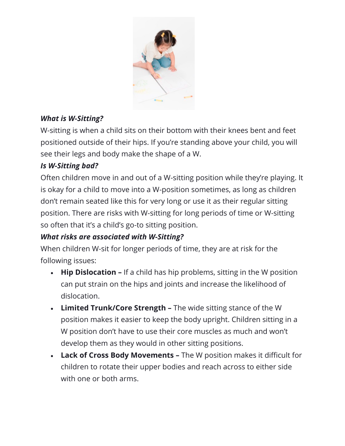

## *What is W-Sitting?*

W-sitting is when a child sits on their bottom with their knees bent and feet positioned outside of their hips. If you're standing above your child, you will see their legs and body make the shape of a W.

## *Is W-Sitting bad?*

Often children move in and out of a W-sitting position while they're playing. It is okay for a child to move into a W-position sometimes, as long as children don't remain seated like this for very long or use it as their regular sitting position. There are risks with W-sitting for long periods of time or W-sitting so often that it's a child's go-to sitting position.

## *What risks are associated with W-Sitting?*

When children W-sit for longer periods of time, they are at risk for the following issues:

- **Hip Dislocation –** If a child has hip problems, sitting in the W position can put strain on the hips and joints and increase the likelihood of dislocation.
- **Limited Trunk/Core Strength –** The wide sitting stance of the W position makes it easier to keep the body upright. Children sitting in a W position don't have to use their core muscles as much and won't develop them as they would in other sitting positions.
- **Lack of Cross Body Movements –** The W position makes it difficult for children to rotate their upper bodies and reach across to either side with one or both arms.